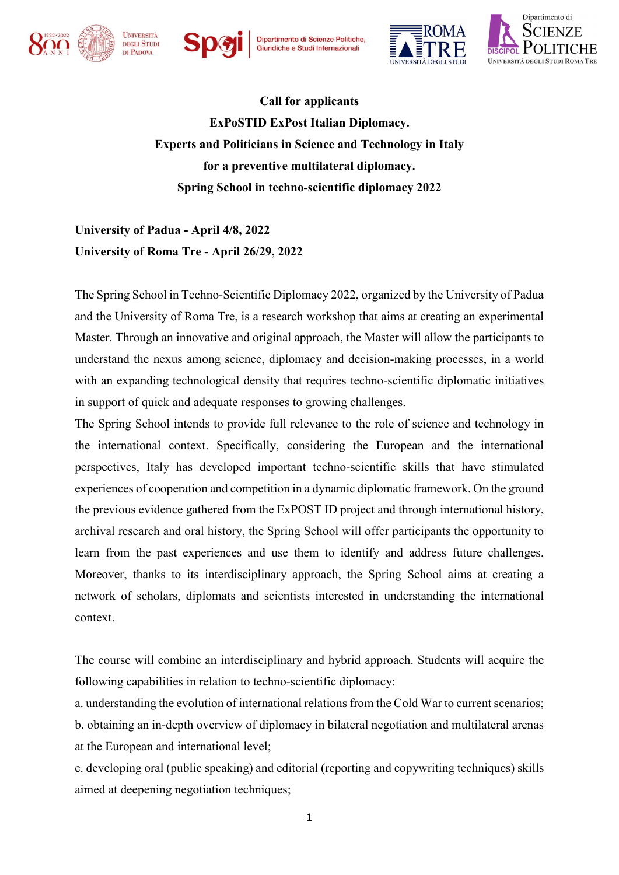



Dipartimento di Scienze Politiche,<br>Giuridiche e Studi Internazionali





**Call for applicants ExPoSTID ExPost Italian Diplomacy. Experts and Politicians in Science and Technology in Italy for a preventive multilateral diplomacy. Spring School in techno-scientific diplomacy 2022**

**University of Padua - April 4/8, 2022 University of Roma Tre - April 26/29, 2022**

The Spring School in Techno-Scientific Diplomacy 2022, organized by the University of Padua and the University of Roma Tre, is a research workshop that aims at creating an experimental Master. Through an innovative and original approach, the Master will allow the participants to understand the nexus among science, diplomacy and decision-making processes, in a world with an expanding technological density that requires techno-scientific diplomatic initiatives in support of quick and adequate responses to growing challenges.

The Spring School intends to provide full relevance to the role of science and technology in the international context. Specifically, considering the European and the international perspectives, Italy has developed important techno-scientific skills that have stimulated experiences of cooperation and competition in a dynamic diplomatic framework. On the ground the previous evidence gathered from the ExPOST ID project and through international history, archival research and oral history, the Spring School will offer participants the opportunity to learn from the past experiences and use them to identify and address future challenges. Moreover, thanks to its interdisciplinary approach, the Spring School aims at creating a network of scholars, diplomats and scientists interested in understanding the international context.

The course will combine an interdisciplinary and hybrid approach. Students will acquire the following capabilities in relation to techno-scientific diplomacy:

a. understanding the evolution of international relations from the Cold War to current scenarios; b. obtaining an in-depth overview of diplomacy in bilateral negotiation and multilateral arenas at the European and international level;

c. developing oral (public speaking) and editorial (reporting and copywriting techniques) skills aimed at deepening negotiation techniques;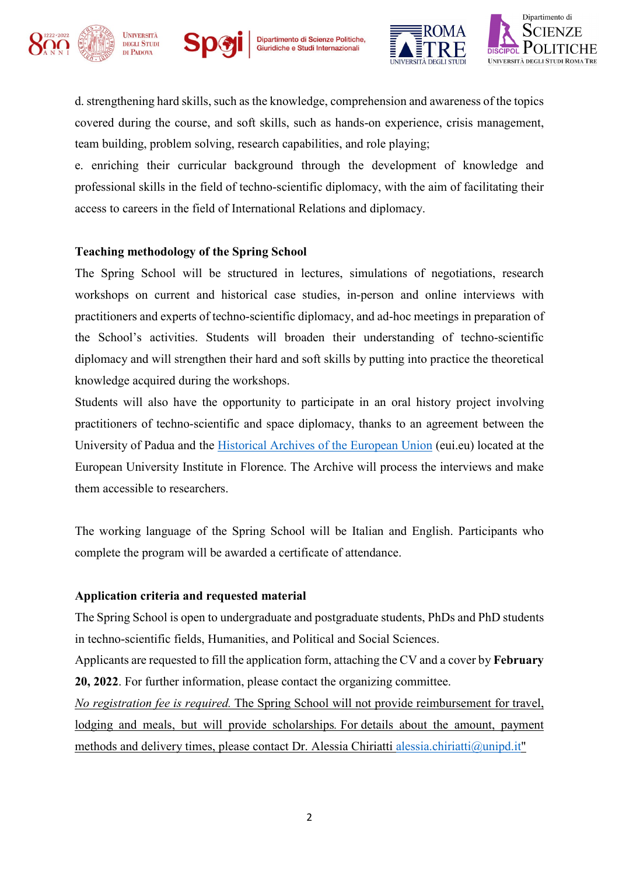







d. strengthening hard skills, such as the knowledge, comprehension and awareness of the topics covered during the course, and soft skills, such as hands-on experience, crisis management, team building, problem solving, research capabilities, and role playing;

e. enriching their curricular background through the development of knowledge and professional skills in the field of techno-scientific diplomacy, with the aim of facilitating their access to careers in the field of International Relations and diplomacy.

## **Teaching methodology of the Spring School**

The Spring School will be structured in lectures, simulations of negotiations, research workshops on current and historical case studies, in-person and online interviews with practitioners and experts of techno-scientific diplomacy, and ad-hoc meetings in preparation of the School's activities. Students will broaden their understanding of techno-scientific diplomacy and will strengthen their hard and soft skills by putting into practice the theoretical knowledge acquired during the workshops.

Students will also have the opportunity to participate in an oral history project involving practitioners of techno-scientific and space diplomacy, thanks to an agreement between the University of Padua and the [Historical Archives of the European Union](https://www.eui.eu/en/academic-units/historical-archives-of-the-european-union) (eui.eu) located at the European University Institute in Florence. The Archive will process the interviews and make them accessible to researchers.

The working language of the Spring School will be Italian and English. Participants who complete the program will be awarded a certificate of attendance.

## **Application criteria and requested material**

The Spring School is open to undergraduate and postgraduate students, PhDs and PhD students in techno-scientific fields, Humanities, and Political and Social Sciences.

Applicants are requested to fill the application form, attaching the CV and a cover by **February 20, 2022**. For further information, please contact the organizing committee.

*No registration fee is required.* The Spring School will not provide reimbursement for travel, lodging and meals, but will provide scholarships*.* For details about the amount, payment methods and delivery times, please contact Dr. Alessia Chiriatti [alessia.chiriatti@unipd.it"](mailto:alessia.chiriatti@unipd.it)